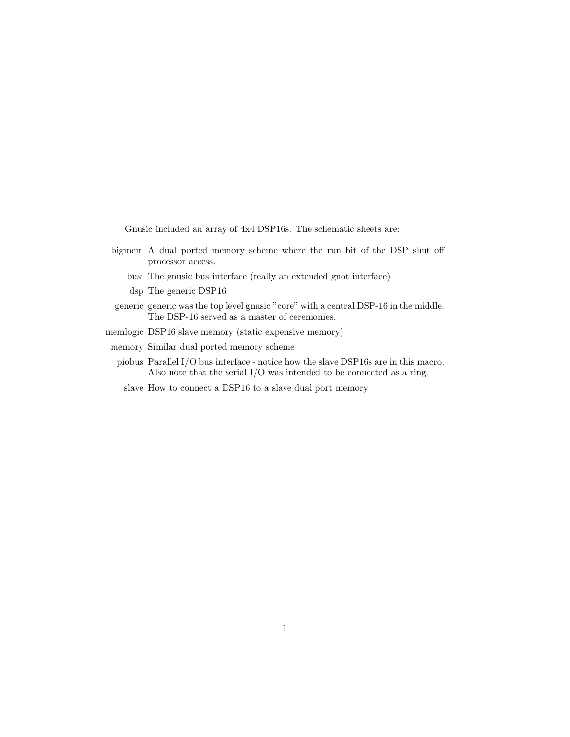Gnusic included an array of 4x4 DSP16s. The schematic sheets are:

- bigmem A dual ported memory scheme where the run bit of the DSP shut off processor access.
	- busi The gnusic bus interface (really an extended gnot interface)
	- dsp The generic DSP16
- generic generic was the top level gnusic "core" with a central DSP-16 in the middle. The DSP-16 served as a master of ceremonies.
- memlogic DSP16[slave memory (static expensive memory)
- memory Similar dual ported memory scheme
	- piobus Parallel I/O bus interface notice how the slave DSP16s are in this macro. Also note that the serial I/O was intended to be connected as a ring.
		- slave How to connect a DSP16 to a slave dual port memory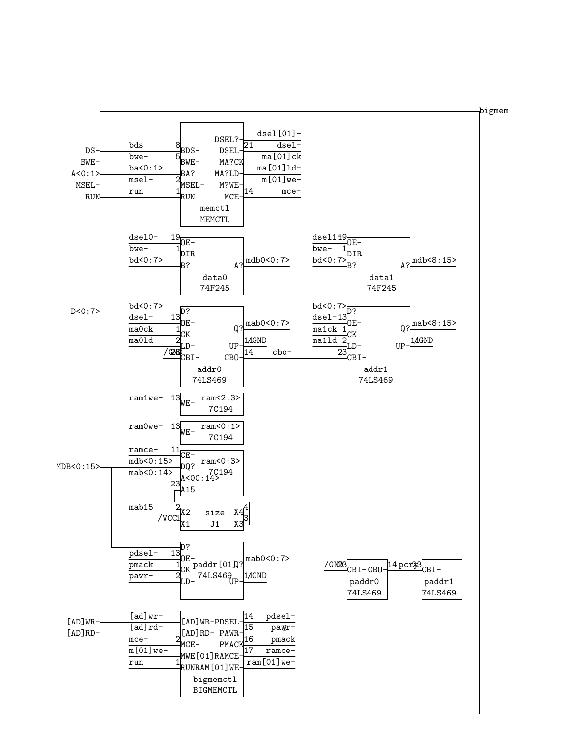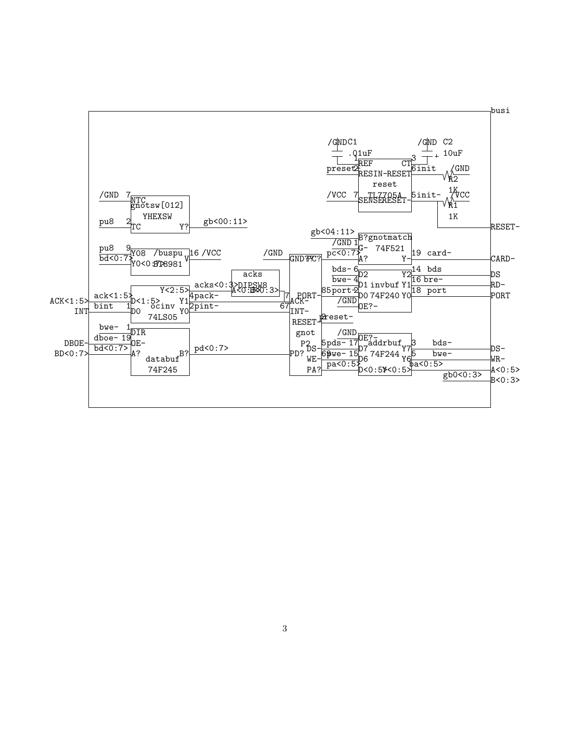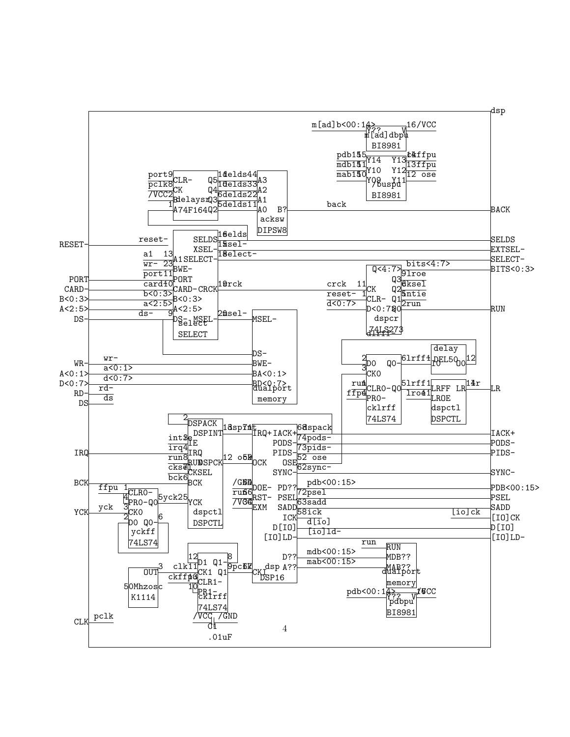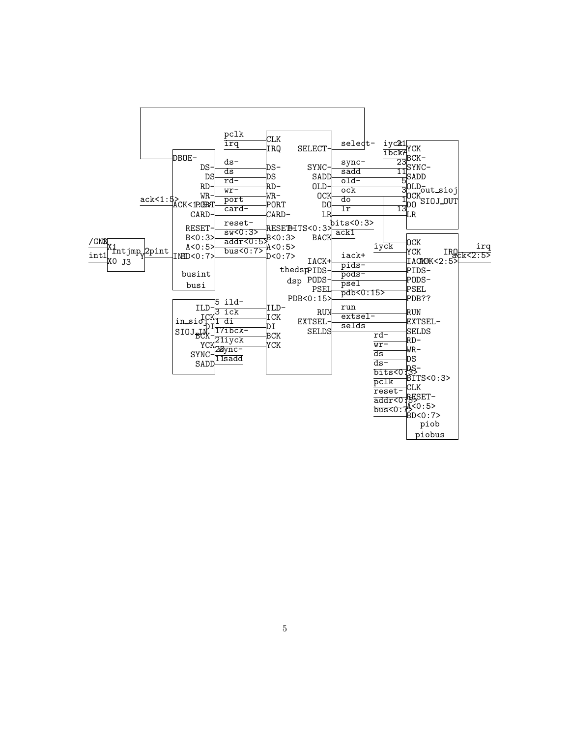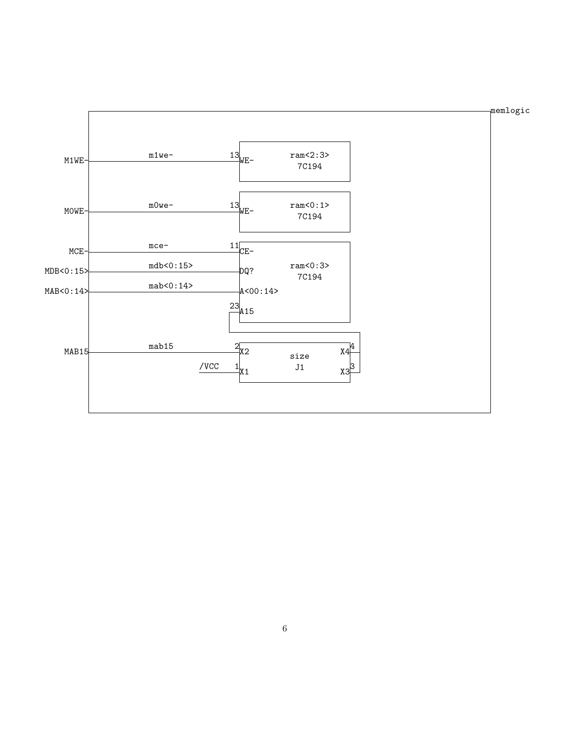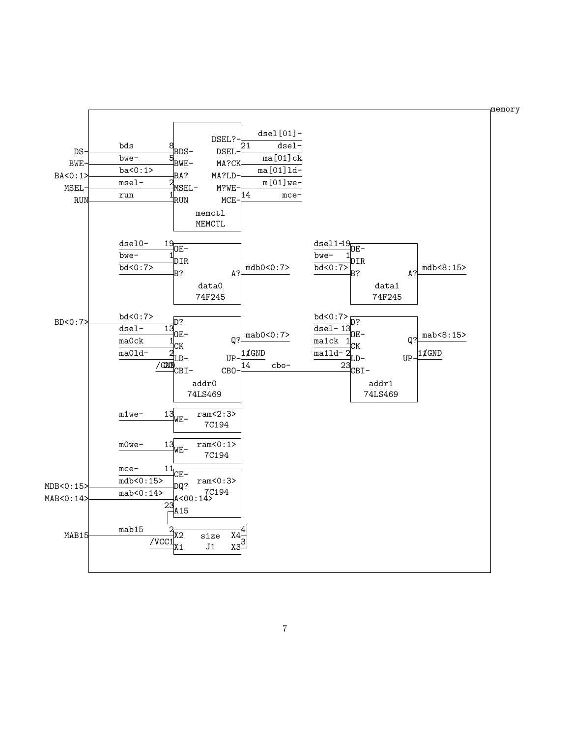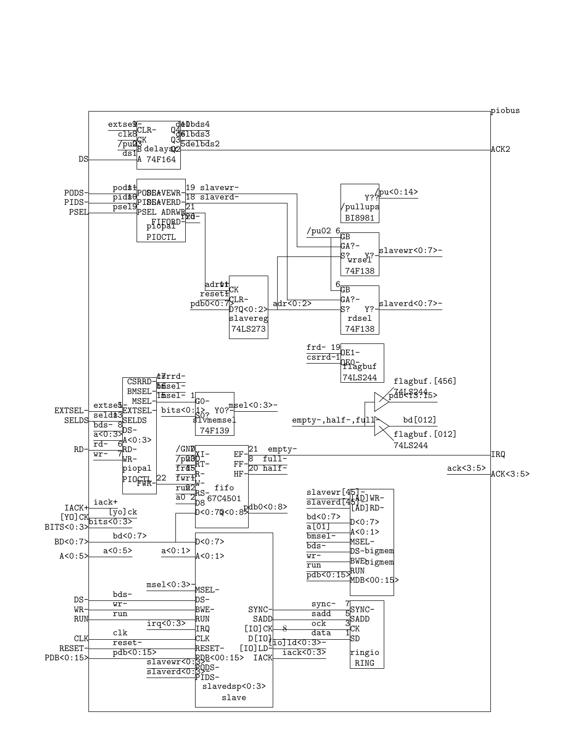